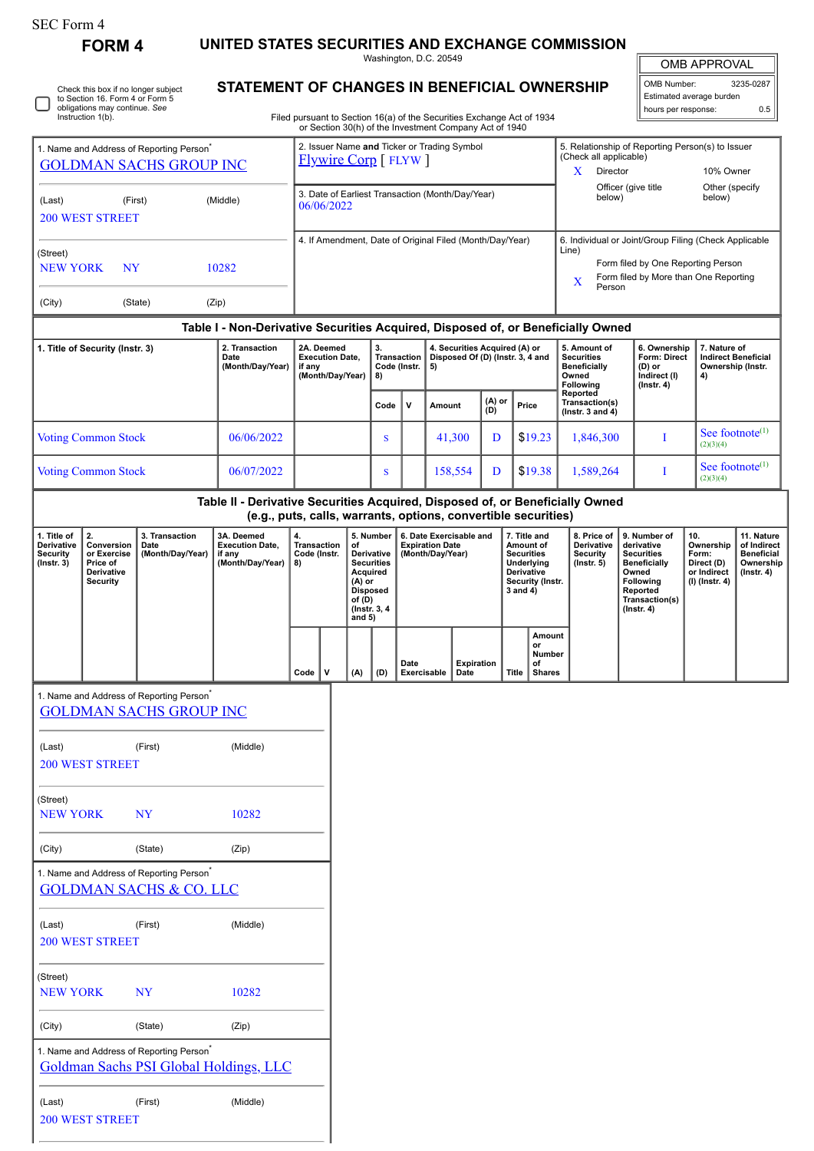| SEC Form 4 |
|------------|
|------------|

**FORM 4 UNITED STATES SECURITIES AND EXCHANGE COMMISSION**

Washington, D.C. 20549

| Check<br>to Sect<br>obligat |
|-----------------------------|
| Instruc                     |

Check this box if no longer subject to Section 16. Form 4 or Form 5 obligations may continue. *See* Instruction 1(b).

## **STATEMENT OF CHANGES IN BENEFICIAL OWNERSHIP**

OMB APPROVAL

| OMB Number:              | 3235-0287 |
|--------------------------|-----------|
| Estimated average burden |           |
| hours per response:      | 0.5       |

Filed pursuant to Section 16(a) of the Securities Exchange Act of 1934 or Section 30(h) of the Investment Company Act of 1940

| 1. Name and Address of Reporting Person<br><b>GOLDMAN SACHS GROUP INC</b><br>(First)<br>(Middle)<br>(Last)<br><b>200 WEST STREET</b><br>(Street)<br><b>NY</b><br><b>NEW YORK</b><br>10282 |                            |                                                                                                |                                                                                  | 2. Issuer Name and Ticker or Trading Symbol<br><b>Flywire Corp</b> [FLYW] |                                                          |                                                                                    |                                                |                                                                                                                                         |                                                                         |                           | 5. Relationship of Reporting Person(s) to Issuer<br>(Check all applicable)<br>10% Owner<br>X<br>Director<br>Officer (give title |       |                                                                                                                                                              |                                                                                            |                                                                                                                                                |                                                                                   |                                                                                 |                                                                 |  |
|-------------------------------------------------------------------------------------------------------------------------------------------------------------------------------------------|----------------------------|------------------------------------------------------------------------------------------------|----------------------------------------------------------------------------------|---------------------------------------------------------------------------|----------------------------------------------------------|------------------------------------------------------------------------------------|------------------------------------------------|-----------------------------------------------------------------------------------------------------------------------------------------|-------------------------------------------------------------------------|---------------------------|---------------------------------------------------------------------------------------------------------------------------------|-------|--------------------------------------------------------------------------------------------------------------------------------------------------------------|--------------------------------------------------------------------------------------------|------------------------------------------------------------------------------------------------------------------------------------------------|-----------------------------------------------------------------------------------|---------------------------------------------------------------------------------|-----------------------------------------------------------------|--|
|                                                                                                                                                                                           |                            |                                                                                                |                                                                                  | 3. Date of Earliest Transaction (Month/Day/Year)<br>06/06/2022            |                                                          |                                                                                    |                                                |                                                                                                                                         |                                                                         |                           |                                                                                                                                 |       | below)                                                                                                                                                       | below)                                                                                     | Other (specify                                                                                                                                 |                                                                                   |                                                                                 |                                                                 |  |
|                                                                                                                                                                                           |                            |                                                                                                |                                                                                  |                                                                           | 4. If Amendment, Date of Original Filed (Month/Day/Year) |                                                                                    |                                                |                                                                                                                                         |                                                                         |                           |                                                                                                                                 |       | 6. Individual or Joint/Group Filing (Check Applicable<br>Line)<br>Form filed by One Reporting Person<br>Form filed by More than One Reporting<br>X<br>Person |                                                                                            |                                                                                                                                                |                                                                                   |                                                                                 |                                                                 |  |
| (City)                                                                                                                                                                                    |                            | (State)                                                                                        | (Zip)                                                                            |                                                                           |                                                          |                                                                                    |                                                |                                                                                                                                         |                                                                         |                           |                                                                                                                                 |       |                                                                                                                                                              |                                                                                            |                                                                                                                                                |                                                                                   |                                                                                 |                                                                 |  |
|                                                                                                                                                                                           |                            |                                                                                                | Table I - Non-Derivative Securities Acquired, Disposed of, or Beneficially Owned |                                                                           |                                                          |                                                                                    |                                                |                                                                                                                                         |                                                                         |                           |                                                                                                                                 |       |                                                                                                                                                              |                                                                                            |                                                                                                                                                |                                                                                   |                                                                                 |                                                                 |  |
| 1. Title of Security (Instr. 3)                                                                                                                                                           |                            |                                                                                                | 2. Transaction<br>Date<br>(Month/Day/Year)                                       | 2A. Deemed<br><b>Execution Date,</b><br>if any<br>(Month/Day/Year)        |                                                          |                                                                                    | 3.<br><b>Transaction</b><br>Code (Instr.<br>8) |                                                                                                                                         | 4. Securities Acquired (A) or<br>Disposed Of (D) (Instr. 3, 4 and<br>5) |                           |                                                                                                                                 |       |                                                                                                                                                              | 5. Amount of<br><b>Securities</b><br><b>Beneficially</b><br>Owned<br>Following<br>Reported |                                                                                                                                                | 6. Ownership<br><b>Form: Direct</b><br>(D) or<br>Indirect (I)<br>$($ Instr. 4 $)$ | 4)                                                                              | 7. Nature of<br><b>Indirect Beneficial</b><br>Ownership (Instr. |  |
|                                                                                                                                                                                           |                            |                                                                                                |                                                                                  |                                                                           |                                                          |                                                                                    | Code                                           | v                                                                                                                                       | Amount                                                                  |                           | (A) or<br>(D)                                                                                                                   | Price |                                                                                                                                                              | Transaction(s)<br>(Instr. $3$ and $4$ )                                                    |                                                                                                                                                |                                                                                   |                                                                                 |                                                                 |  |
|                                                                                                                                                                                           | <b>Voting Common Stock</b> |                                                                                                | 06/06/2022                                                                       |                                                                           |                                                          |                                                                                    | ${\bf S}$                                      |                                                                                                                                         |                                                                         | 41,300                    | D                                                                                                                               |       | \$19.23                                                                                                                                                      | 1,846,300                                                                                  |                                                                                                                                                | I                                                                                 | (2)(3)(4)                                                                       | See footnote <sup>(1)</sup>                                     |  |
|                                                                                                                                                                                           | <b>Voting Common Stock</b> |                                                                                                | 06/07/2022                                                                       |                                                                           |                                                          |                                                                                    | S                                              |                                                                                                                                         |                                                                         | 158,554                   | D                                                                                                                               |       | \$19.38                                                                                                                                                      | 1,589,264                                                                                  |                                                                                                                                                | I                                                                                 | (2)(3)(4)                                                                       | See footnote <sup>(1)</sup>                                     |  |
|                                                                                                                                                                                           |                            |                                                                                                | Table II - Derivative Securities Acquired, Disposed of, or Beneficially Owned    |                                                                           |                                                          |                                                                                    |                                                |                                                                                                                                         |                                                                         |                           |                                                                                                                                 |       |                                                                                                                                                              |                                                                                            |                                                                                                                                                |                                                                                   |                                                                                 |                                                                 |  |
| 1. Title of<br>2.<br>Derivative<br>Conversion<br>Date<br><b>Security</b><br>or Exercise<br>$($ Instr. 3 $)$<br>Price of<br>Derivative<br><b>Security</b>                                  |                            | 3. Transaction<br>(Month/Day/Year)                                                             | 3A. Deemed<br><b>Execution Date,</b><br>if any<br>(Month/Day/Year)               | 4.<br><b>Transaction</b><br>Code (Instr.<br>8)                            |                                                          | of<br>Acquired<br>(A) or<br><b>Disposed</b><br>of (D)<br>(Instr. 3, 4)<br>and $5)$ | 5. Number<br>Derivative<br><b>Securities</b>   | (e.g., puts, calls, warrants, options, convertible securities)<br>6. Date Exercisable and<br><b>Expiration Date</b><br>(Month/Day/Year) |                                                                         |                           | 7. Title and<br>Amount of<br><b>Securities</b><br>Underlying<br><b>Derivative</b><br>Security (Instr.<br>3 and 4)               |       | 8. Price of<br>Derivative<br><b>Security</b><br>$($ Instr. 5 $)$                                                                                             |                                                                                            | 9. Number of<br>derivative<br><b>Securities</b><br><b>Beneficially</b><br>Owned<br>Following<br>Reported<br>Transaction(s)<br>$($ Instr. 4 $)$ | 10.<br>Ownership<br>Form:<br>Direct (D)<br>or Indirect<br>(I) (Instr. 4)          | 11. Nature<br>of Indirect<br><b>Beneficial</b><br>Ownership<br>$($ Instr. 4 $)$ |                                                                 |  |
|                                                                                                                                                                                           |                            |                                                                                                |                                                                                  | $\mathsf{v}$<br>Code                                                      |                                                          | (A)                                                                                | (D)                                            | Date<br>Exercisable                                                                                                                     |                                                                         | <b>Expiration</b><br>Date |                                                                                                                                 | Title | Amount<br>or<br>Number<br>of<br><b>Shares</b>                                                                                                                |                                                                                            |                                                                                                                                                |                                                                                   |                                                                                 |                                                                 |  |
|                                                                                                                                                                                           |                            | 1. Name and Address of Reporting Person <sup>®</sup><br><b>GOLDMAN SACHS GROUP INC</b>         |                                                                                  |                                                                           |                                                          |                                                                                    |                                                |                                                                                                                                         |                                                                         |                           |                                                                                                                                 |       |                                                                                                                                                              |                                                                                            |                                                                                                                                                |                                                                                   |                                                                                 |                                                                 |  |
| (Last)                                                                                                                                                                                    | <b>200 WEST STREET</b>     | (First)                                                                                        | (Middle)                                                                         |                                                                           |                                                          |                                                                                    |                                                |                                                                                                                                         |                                                                         |                           |                                                                                                                                 |       |                                                                                                                                                              |                                                                                            |                                                                                                                                                |                                                                                   |                                                                                 |                                                                 |  |
| (Street)<br><b>NEW YORK</b>                                                                                                                                                               |                            | <b>NY</b>                                                                                      | 10282                                                                            |                                                                           |                                                          |                                                                                    |                                                |                                                                                                                                         |                                                                         |                           |                                                                                                                                 |       |                                                                                                                                                              |                                                                                            |                                                                                                                                                |                                                                                   |                                                                                 |                                                                 |  |
| (City)                                                                                                                                                                                    |                            | (State)                                                                                        | (Zip)                                                                            |                                                                           |                                                          |                                                                                    |                                                |                                                                                                                                         |                                                                         |                           |                                                                                                                                 |       |                                                                                                                                                              |                                                                                            |                                                                                                                                                |                                                                                   |                                                                                 |                                                                 |  |
|                                                                                                                                                                                           |                            | 1. Name and Address of Reporting Person <sup>*</sup><br><b>GOLDMAN SACHS &amp; CO. LLC</b>     |                                                                                  |                                                                           |                                                          |                                                                                    |                                                |                                                                                                                                         |                                                                         |                           |                                                                                                                                 |       |                                                                                                                                                              |                                                                                            |                                                                                                                                                |                                                                                   |                                                                                 |                                                                 |  |
| (Last)                                                                                                                                                                                    | <b>200 WEST STREET</b>     | (First)                                                                                        | (Middle)                                                                         |                                                                           |                                                          |                                                                                    |                                                |                                                                                                                                         |                                                                         |                           |                                                                                                                                 |       |                                                                                                                                                              |                                                                                            |                                                                                                                                                |                                                                                   |                                                                                 |                                                                 |  |
| (Street)<br><b>NEW YORK</b>                                                                                                                                                               |                            | <b>NY</b>                                                                                      | 10282                                                                            |                                                                           |                                                          |                                                                                    |                                                |                                                                                                                                         |                                                                         |                           |                                                                                                                                 |       |                                                                                                                                                              |                                                                                            |                                                                                                                                                |                                                                                   |                                                                                 |                                                                 |  |
| (City)                                                                                                                                                                                    |                            | (State)                                                                                        | (Zip)                                                                            |                                                                           |                                                          |                                                                                    |                                                |                                                                                                                                         |                                                                         |                           |                                                                                                                                 |       |                                                                                                                                                              |                                                                                            |                                                                                                                                                |                                                                                   |                                                                                 |                                                                 |  |
|                                                                                                                                                                                           |                            | 1. Name and Address of Reporting Person <sup>*</sup><br>Goldman Sachs PSI Global Holdings, LLC |                                                                                  |                                                                           |                                                          |                                                                                    |                                                |                                                                                                                                         |                                                                         |                           |                                                                                                                                 |       |                                                                                                                                                              |                                                                                            |                                                                                                                                                |                                                                                   |                                                                                 |                                                                 |  |
| (Last)                                                                                                                                                                                    | <b>200 WEST STREET</b>     | (First)                                                                                        | (Middle)                                                                         |                                                                           |                                                          |                                                                                    |                                                |                                                                                                                                         |                                                                         |                           |                                                                                                                                 |       |                                                                                                                                                              |                                                                                            |                                                                                                                                                |                                                                                   |                                                                                 |                                                                 |  |